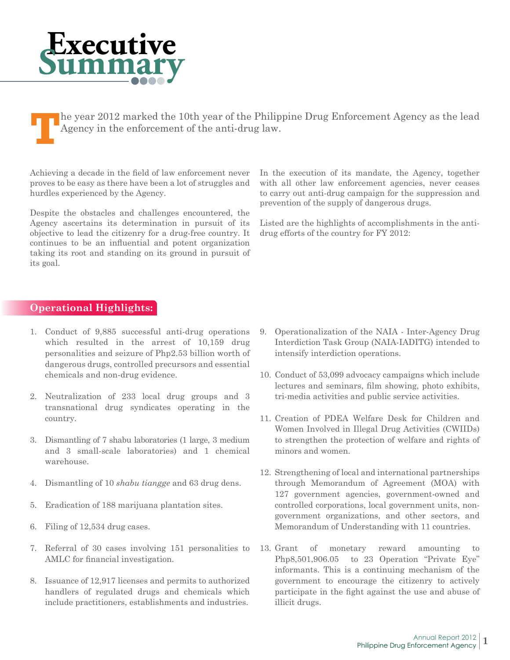## **Executive Summary**

**T**he year 2012 marked the 10th year of the Philippine Drug Enforcement Agency as the lead Agency in the enforcement of the anti-drug law.

Achieving a decade in the field of law enforcement never proves to be easy as there have been a lot of struggles and hurdles experienced by the Agency.

Despite the obstacles and challenges encountered, the Agency ascertains its determination in pursuit of its objective to lead the citizenry for a drug-free country. It continues to be an influential and potent organization taking its root and standing on its ground in pursuit of its goal.

In the execution of its mandate, the Agency, together with all other law enforcement agencies, never ceases to carry out anti-drug campaign for the suppression and prevention of the supply of dangerous drugs.

Listed are the highlights of accomplishments in the antidrug efforts of the country for FY 2012:

## **Operational Highlights:**

- 1. Conduct of 9,885 successful anti-drug operations which resulted in the arrest of 10,159 drug personalities and seizure of Php2.53 billion worth of dangerous drugs, controlled precursors and essential chemicals and non-drug evidence.
- 2. Neutralization of 233 local drug groups and 3 transnational drug syndicates operating in the country.
- 3. Dismantling of 7 shabu laboratories (1 large, 3 medium and 3 small-scale laboratories) and 1 chemical warehouse.
- 4. Dismantling of 10 *shabu tiangge* and 63 drug dens.
- 5. Eradication of 188 marijuana plantation sites.
- 6. Filing of 12,534 drug cases.
- 7. Referral of 30 cases involving 151 personalities to AMLC for financial investigation.
- 8. Issuance of 12,917 licenses and permits to authorized handlers of regulated drugs and chemicals which include practitioners, establishments and industries.
- 9. Operationalization of the NAIA Inter-Agency Drug Interdiction Task Group (NAIA-IADITG) intended to intensify interdiction operations.
- 10. Conduct of 53,099 advocacy campaigns which include lectures and seminars, film showing, photo exhibits, tri-media activities and public service activities.
- 11. Creation of PDEA Welfare Desk for Children and Women Involved in Illegal Drug Activities (CWIIDs) to strengthen the protection of welfare and rights of minors and women.
- 12. Strengthening of local and international partnerships through Memorandum of Agreement (MOA) with 127 government agencies, government-owned and controlled corporations, local government units, nongovernment organizations, and other sectors, and Memorandum of Understanding with 11 countries.
- 13. Grant of monetary reward amounting to Php8,501,906.05 to 23 Operation "Private Eye" informants. This is a continuing mechanism of the government to encourage the citizenry to actively participate in the fight against the use and abuse of illicit drugs.